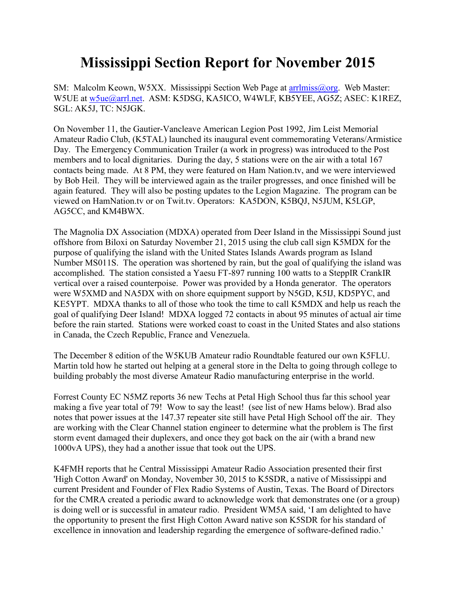## **Mississippi Section Report for November 2015**

SM: Malcolm Keown, W5XX. Mississippi Section Web Page at arrilmiss@org. Web Master: W5UE at [w5ue@arrl.net.](mailto:w5ue@arrl.net) ASM: K5DSG, KA5ICO, W4WLF, KB5YEE, AG5Z; ASEC: K1REZ, SGL: AK5J, TC: N5JGK.

On November 11, the Gautier-Vancleave American Legion Post 1992, Jim Leist Memorial Amateur Radio Club, (K5TAL) launched its inaugural event commemorating Veterans/Armistice Day. The Emergency Communication Trailer (a work in progress) was introduced to the Post members and to local dignitaries. During the day, 5 stations were on the air with a total 167 contacts being made. At 8 PM, they were featured on Ham Nation.tv, and we were interviewed by Bob Heil. They will be interviewed again as the trailer progresses, and once finished will be again featured. They will also be posting updates to the Legion Magazine. The program can be viewed on HamNation.tv or on Twit.tv. Operators: KA5DON, K5BQJ, N5JUM, K5LGP, AG5CC, and KM4BWX.

The Magnolia DX Association (MDXA) operated from Deer Island in the Mississippi Sound just offshore from Biloxi on Saturday November 21, 2015 using the club call sign K5MDX for the purpose of qualifying the island with the United States Islands Awards program as Island Number MS011S. The operation was shortened by rain, but the goal of qualifying the island was accomplished. The station consisted a Yaesu FT-897 running 100 watts to a SteppIR CrankIR vertical over a raised counterpoise. Power was provided by a Honda generator. The operators were W5XMD and NA5DX with on shore equipment support by N5GD, K5IJ, KD5PYC, and KE5YPT. MDXA thanks to all of those who took the time to call K5MDX and help us reach the goal of qualifying Deer Island! MDXA logged 72 contacts in about 95 minutes of actual air time before the rain started. Stations were worked coast to coast in the United States and also stations in Canada, the Czech Republic, France and Venezuela.

The December 8 edition of the W5KUB Amateur radio Roundtable featured our own K5FLU. Martin told how he started out helping at a general store in the Delta to going through college to building probably the most diverse Amateur Radio manufacturing enterprise in the world.

Forrest County EC N5MZ reports 36 new Techs at Petal High School thus far this school year making a five year total of 79! Wow to say the least! (see list of new Hams below). Brad also notes that power issues at the 147.37 repeater site still have Petal High School off the air. They are working with the Clear Channel station engineer to determine what the problem is The first storm event damaged their duplexers, and once they got back on the air (with a brand new 1000vA UPS), they had a another issue that took out the UPS.

K4FMH reports that he Central Mississippi Amateur Radio Association presented their first 'High Cotton Award' on Monday, November 30, 2015 to K5SDR, a native of Mississippi and current President and Founder of Flex Radio Systems of Austin, Texas. The Board of Directors for the CMRA created a periodic award to acknowledge work that demonstrates one (or a group) is doing well or is successful in amateur radio. President WM5A said, 'I am delighted to have the opportunity to present the first High Cotton Award native son K5SDR for his standard of excellence in innovation and leadership regarding the emergence of software-defined radio.'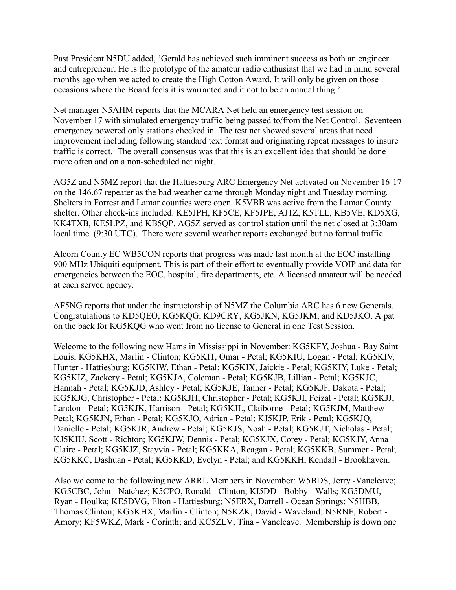Past President N5DU added, 'Gerald has achieved such imminent success as both an engineer and entrepreneur. He is the prototype of the amateur radio enthusiast that we had in mind several months ago when we acted to create the High Cotton Award. It will only be given on those occasions where the Board feels it is warranted and it not to be an annual thing.'

Net manager N5AHM reports that the MCARA Net held an emergency test session on November 17 with simulated emergency traffic being passed to/from the Net Control. Seventeen emergency powered only stations checked in. The test net showed several areas that need improvement including following standard text format and originating repeat messages to insure traffic is correct. The overall consensus was that this is an excellent idea that should be done more often and on a non-scheduled net night.

AG5Z and N5MZ report that the Hattiesburg ARC Emergency Net activated on November 16-17 on the 146.67 repeater as the bad weather came through Monday night and Tuesday morning. Shelters in Forrest and Lamar counties were open. K5VBB was active from the Lamar County shelter. Other check-ins included: KE5JPH, KF5CE, KF5JPE, AJ1Z, K5TLL, KB5VE, KD5XG, KK4TXB, KE5LPZ, and KB5QP. AG5Z served as control station until the net closed at 3:30am local time. (9:30 UTC). There were several weather reports exchanged but no formal traffic.

Alcorn County EC WB5CON reports that progress was made last month at the EOC installing 900 MHz Ubiquiti equipment. This is part of their effort to eventually provide VOIP and data for emergencies between the EOC, hospital, fire departments, etc. A licensed amateur will be needed at each served agency.

AF5NG reports that under the instructorship of N5MZ the Columbia ARC has 6 new Generals. Congratulations to KD5QEO, KG5KQG, KD9CRY, KG5JKN, KG5JKM, and KD5JKO. A pat on the back for KG5KQG who went from no license to General in one Test Session.

Welcome to the following new Hams in Mississippi in November: KG5KFY, Joshua - Bay Saint Louis; KG5KHX, Marlin - Clinton; KG5KIT, Omar - Petal; KG5KIU, Logan - Petal; KG5KIV, Hunter - Hattiesburg; KG5KIW, Ethan - Petal; KG5KIX, Jaickie - Petal; KG5KIY, Luke - Petal; KG5KIZ, Zackery - Petal; KG5KJA, Coleman - Petal; KG5KJB, Lillian - Petal; KG5KJC, Hannah - Petal; KG5KJD, Ashley - Petal; KG5KJE, Tanner - Petal; KG5KJF, Dakota - Petal; KG5KJG, Christopher - Petal; KG5KJH, Christopher - Petal; KG5KJI, Feizal - Petal; KG5KJJ, Landon - Petal; KG5KJK, Harrison - Petal; KG5KJL, Claiborne - Petal; KG5KJM, Matthew - Petal; KG5KJN, Ethan - Petal; KG5KJO, Adrian - Petal; KJ5KJP, Erik - Petal; KG5KJQ, Danielle - Petal; KG5KJR, Andrew - Petal; KG5KJS, Noah - Petal; KG5KJT, Nicholas - Petal; KJ5KJU, Scott - Richton; KG5KJW, Dennis - Petal; KG5KJX, Corey - Petal; KG5KJY, Anna Claire - Petal; KG5KJZ, Stayvia - Petal; KG5KKA, Reagan - Petal; KG5KKB, Summer - Petal; KG5KKC, Dashuan - Petal; KG5KKD, Evelyn - Petal; and KG5KKH, Kendall - Brookhaven.

Also welcome to the following new ARRL Members in November: W5BDS, Jerry -Vancleave; KG5CBC, John - Natchez; K5CPO, Ronald - Clinton; KI5DD - Bobby - Walls; KG5DMU, Ryan - Houlka; KE5DVG, Elton - Hattiesburg; N5ERX, Darrell - Ocean Springs; N5HBB, Thomas Clinton; KG5KHX, Marlin - Clinton; N5KZK, David - Waveland; N5RNF, Robert - Amory; KF5WKZ, Mark - Corinth; and KC5ZLV, Tina - Vancleave. Membership is down one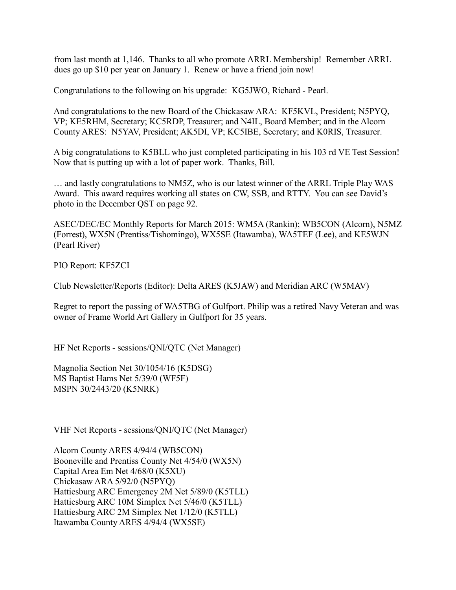from last month at 1,146. Thanks to all who promote ARRL Membership! Remember ARRL dues go up \$10 per year on January 1. Renew or have a friend join now!

Congratulations to the following on his upgrade: KG5JWO, Richard - Pearl.

And congratulations to the new Board of the Chickasaw ARA: KF5KVL, President; N5PYQ, VP; KE5RHM, Secretary; KC5RDP, Treasurer; and N4IL, Board Member; and in the Alcorn County ARES: N5YAV, President; AK5DI, VP; KC5IBE, Secretary; and K0RIS, Treasurer.

A big congratulations to K5BLL who just completed participating in his 103 rd VE Test Session! Now that is putting up with a lot of paper work. Thanks, Bill.

… and lastly congratulations to NM5Z, who is our latest winner of the ARRL Triple Play WAS Award. This award requires working all states on CW, SSB, and RTTY. You can see David's photo in the December QST on page 92.

ASEC/DEC/EC Monthly Reports for March 2015: WM5A (Rankin); WB5CON (Alcorn), N5MZ (Forrest), WX5N (Prentiss/Tishomingo), WX5SE (Itawamba), WA5TEF (Lee), and KE5WJN (Pearl River)

PIO Report: KF5ZCI

Club Newsletter/Reports (Editor): Delta ARES (K5JAW) and Meridian ARC (W5MAV)

Regret to report the passing of WA5TBG of Gulfport. Philip was a retired Navy Veteran and was owner of Frame World Art Gallery in Gulfport for 35 years.

HF Net Reports - sessions/QNI/QTC (Net Manager)

Magnolia Section Net 30/1054/16 (K5DSG) MS Baptist Hams Net 5/39/0 (WF5F) MSPN 30/2443/20 (K5NRK)

VHF Net Reports - sessions/QNI/QTC (Net Manager)

Alcorn County ARES 4/94/4 (WB5CON) Booneville and Prentiss County Net 4/54/0 (WX5N) Capital Area Em Net 4/68/0 (K5XU) Chickasaw ARA 5/92/0 (N5PYQ) Hattiesburg ARC Emergency 2M Net 5/89/0 (K5TLL) Hattiesburg ARC 10M Simplex Net 5/46/0 (K5TLL) Hattiesburg ARC 2M Simplex Net 1/12/0 (K5TLL) Itawamba County ARES 4/94/4 (WX5SE)